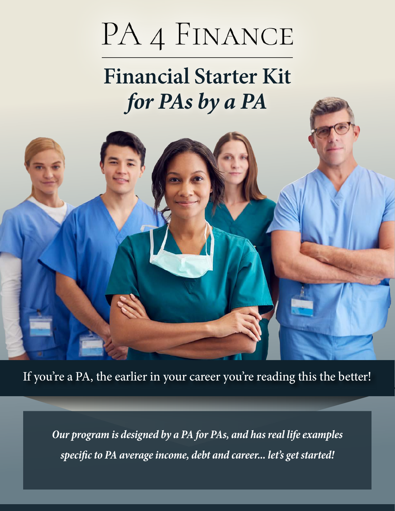# PA 4 FINANCE

## **Financial Starter Kit**  *for PAs by a PA*



If you're a PA, the earlier in your career you're reading this the better!

*Our program is designed by a PA for PAs, and has real life examples specific to PA average income, debt and career... let's get started!*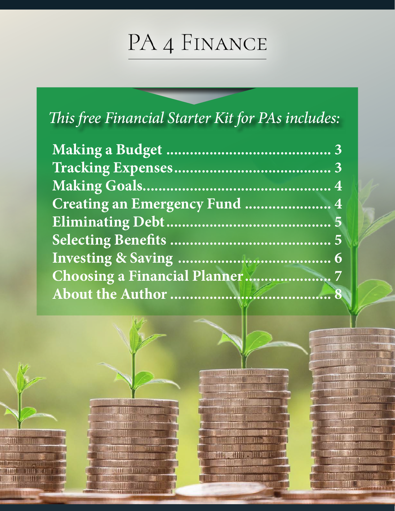## PA 4 FINANCE

### This free Financial Starter Kit for PAs includes:

| Creating an Emergency Fund  4 |  |
|-------------------------------|--|
|                               |  |
|                               |  |
|                               |  |
|                               |  |
|                               |  |
|                               |  |



雕

HUE

**IIII** 

HIT PRESENTATION

**SIMP** 

**THE HILL STATE** 

**Basilin and Still** 

ulit



TILLE **WARDER** 

地田镇 THE STILL "IIII"

**HINK SHIRE** 

**ATO** 

TOUR SERVICE

**MILLES** 

THILE

THE

**RIFFE** 

**TESTING** 

**STAND** 

**TITLE** 

**HALL TILLIE OF** 

**THE JIN** 

**DHU** 

**HILL MATER** 

THE STILL

**AMIT X** 

THE

滑川

am

TTIN

相用

**ATT** 

m

HIL

**ALGAS** 

ш

844448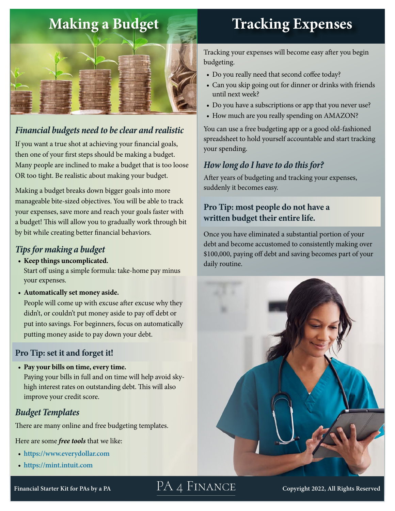<span id="page-2-0"></span>

#### *Financial budgets need to be clear and realistic*

If you want a true shot at achieving your financial goals, then one of your first steps should be making a budget. Many people are inclined to make a budget that is too loose OR too tight. Be realistic about making your budget.

Making a budget breaks down bigger goals into more manageable bite-sized objectives. You will be able to track your expenses, save more and reach your goals faster with a budget! This will allow you to gradually work through bit by bit while creating better financial behaviors.

#### *Tips for making a budget*

**• Keep things uncomplicated.**

Start off using a simple formula: take-home pay minus your expenses.

• **Automatically set money aside.**

People will come up with excuse after excuse why they didn't, or couldn't put money aside to pay off debt or put into savings. For beginners, focus on automatically putting money aside to pay down your debt.

#### **Pro Tip: set it and forget it!**

• **Pay your bills on time, every time.** Paying your bills in full and on time will help avoid skyhigh interest rates on outstanding debt. This will also improve your credit score.

PA 4 FINANCE

#### *Budget Templates*

There are many online and free budgeting templates.

Here are some *free tools* that we like:

- **<https://www.everydollar.com>**
- **<https://mint.intuit.com>**

## **Tracking Expenses**

Tracking your expenses will become easy after you begin budgeting.

- Do you really need that second coffee today?
- Can you skip going out for dinner or drinks with friends until next week?
- Do you have a subscriptions or app that you never use?
- How much are you really spending on AMAZON?

You can use a free budgeting app or a good old-fashioned spreadsheet to hold yourself accountable and start tracking your spending.

### *How long do I have to do this for?*

After years of budgeting and tracking your expenses, suddenly it becomes easy.

#### **Pro Tip: most people do not have a written budget their entire life.**

Once you have eliminated a substantial portion of your debt and become accustomed to consistently making over \$100,000, paying off debt and saving becomes part of your daily routine.



**Copyright 2022, All Rights Reserved**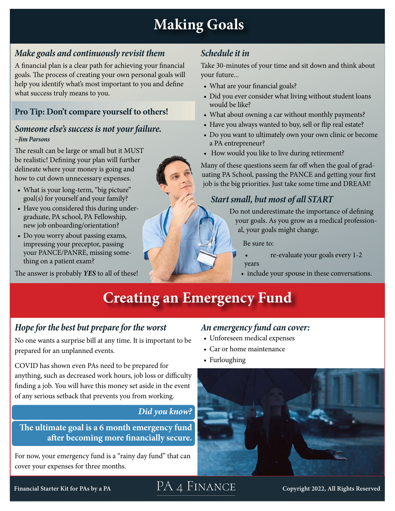### **Making Goals**

#### <span id="page-3-0"></span>*Make goals and continuously revisit them*

A financial plan is a clear path for achieving your financial goals. The process of creating your own personal goals will help you identify what's most important to you and define what success truly means to you.

#### **Pro Tip: Don't compare yourself to others!**

#### *Someone else's success is not your failure. ~Jim Parsons*

The result can be large or small but it MUST be realistic! Defining your plan will further delineate where your money is going and how to cut down unnecessary expenses.

- What is your long-term, "big picture" goal(s) for yourself and your family?
- Have you considered this during undergraduate, PA school, PA Fellowship, new job onboarding/orientation?
- Do you worry about passing exams, impressing your preceptor, passing your PANCE/PANRE, missing something on a patient exam?

The answer is probably *YES* to all of these!

#### *Schedule it in*

Take 30-minutes of your time and sit down and think about your future...

- What are your financial goals?
- Did you ever consider what living without student loans would be like?
- What about owning a car without monthly payments?
- Have you always wanted to buy, sell or flip real estate?
- Do you want to ultimately own your own clinic or become a PA entrepreneur?
- How would you like to live during retirement?

Many of these questions seem far off when the goal of graduating PA School, passing the PANCE and getting your first job is the big priorities. Just take some time and DREAM!

#### *Start small, but most of all START*

Do not underestimate the importance of defining your goals. As you grow as a medical professional, your goals might change.

Be sure to:

- re-evaluate your goals every 1-2 years
- include your spouse in these conversations.

### **Creating an Emergency Fund**

#### *Hope for the best but prepare for the worst*

No one wants a surprise bill at any time. It is important to be prepared for an unplanned events.

COVID has shown even PAs need to be prepared for anything, such as decreased work hours, job loss or difficulty finding a job. You will have this money set aside in the event of any serious setback that prevents you from working.

#### *Did you know?*

**The ultimate goal is a 6 month emergency fund after becoming more financially secure.**

For now, your emergency fund is a "rainy day fund" that can cover your expenses for three months.

#### *An emergency fund can cover:*

- Unforeseen medical expenses
- Car or home maintenance
- Furloughing



**Financial Starter Kit for PAs by a PA Copyright 2022, All Rights Reserved**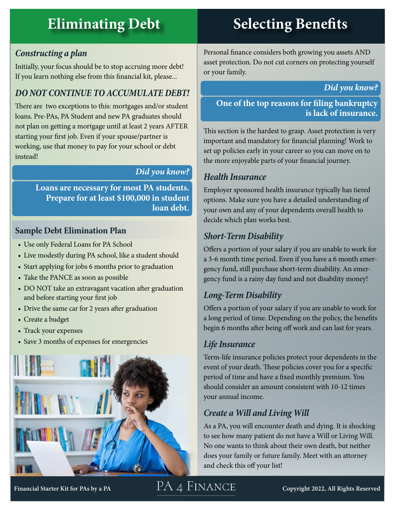### <span id="page-4-0"></span>**Eliminating Debt Selecting Benefits**

#### *Constructing a plan*

Initially, your focus should be to stop accruing more debt! If you learn nothing else from this financial kit, please...

#### *DO NOT CONTINUE TO ACCUMULATE DEBT!*

There are two exceptions to this: mortgages and/or student loans. Pre-PAs, PA Student and new PA graduates should not plan on getting a mortgage until at least 2 years AFTER starting your first job. Even if your spouse/partner is working, use that money to pay for your school or debt instead!

#### *Did you know?*

**Loans are necessary for most PA students. Prepare for at least \$100,000 in student loan debt.**

#### **Sample Debt Elimination Plan**

- Use only Federal Loans for PA School
- Live modestly during PA school, like a student should
- Start applying for jobs 6 months prior to graduation
- Take the PANCE as soon as possible
- DO NOT take an extravagant vacation after graduation and before starting your first job
- Drive the same car for 2 years after graduation
- Create a budget
- Track your expenses
- Save 3 months of expenses for emergencies



Personal finance considers both growing you assets AND asset protection. Do not cut corners on protecting yourself or your family.

*Did you know?*

**One of the top reasons for filing bankruptcy is lack of insurance.**

This section is the hardest to grasp. Asset protection is very important and mandatory for financial planning! Work to set up policies early in your career so you can move on to the more enjoyable parts of your financial journey.

#### *Health Insurance*

Employer sponsored health insurance typically has tiered options. Make sure you have a detailed understanding of your own and any of your dependents overall health to decide which plan works best.

#### *Short-Term Disability*

Offers a portion of your salary if you are unable to work for a 3-6 month time period. Even if you have a 6 month emergency fund, still purchase short-term disability. An emergency fund is a rainy day fund and not disability money!

#### *Long-Term Disability*

Offers a portion of your salary if you are unable to work for a long period of time. Depending on the policy, the benefits begin 6 months after being off work and can last for years.

#### *Life Insurance*

Term-life insurance policies protect your dependents in the event of your death. These policies cover you for a specific period of time and have a fixed monthly premium. You should consider an amount consistent with 10-12 times your annual income.

#### *Create a Will and Living Will*

As a PA, you will encounter death and dying. It is shocking to see how many patient do not have a Will or Living Will. No one wants to think about their own death, but neither does your family or future family. Meet with an attorney and check this off your list!

**Financial Starter Kit for PAs by a PA**

### PA 4 FINANCE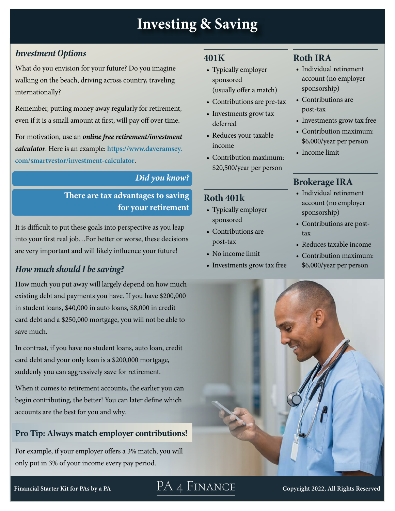### **Investing & Saving**

#### <span id="page-5-0"></span>*Investment Options*

What do you envision for your future? Do you imagine walking on the beach, driving across country, traveling internationally?

Remember, putting money away regularly for retirement, even if it is a small amount at first, will pay off over time.

For motivation, use an *online free retirement/investment calculator*. Here is an example: **[https://www.daveramsey.](https://www.daveramsey.com/smartvestor/investment-calculator) [com/smartvestor/investment-calculator](https://www.daveramsey.com/smartvestor/investment-calculator)**.

#### *Did you know?*

#### **There are tax advantages to saving for your retirement**

It is difficult to put these goals into perspective as you leap into your first real job…For better or worse, these decisions are very important and will likely influence your future!

#### *How much should I be saving?*

How much you put away will largely depend on how much existing debt and payments you have. If you have \$200,000 in student loans, \$40,000 in auto loans, \$8,000 in credit card debt and a \$250,000 mortgage, you will not be able to save much.

In contrast, if you have no student loans, auto loan, credit card debt and your only loan is a \$200,000 mortgage, suddenly you can aggressively save for retirement.

When it comes to retirement accounts, the earlier you can begin contributing, the better! You can later define which accounts are the best for you and why.

#### **Pro Tip: Always match employer contributions!**

For example, if your employer offers a 3% match, you will only put in 3% of your income every pay period.

#### **401K**

- Typically employer sponsored (usually offer a match)
- Contributions are pre-tax
- Investments grow tax deferred
- Reduces your taxable income
- Contribution maximum: \$20,500/year per person

#### **Roth 401k**

- Typically employer sponsored
- Contributions are post-tax
- No income limit
- Investments grow tax free

#### **Roth IRA**

- Individual retirement account (no employer sponsorship)
- Contributions are post-tax
- Investments grow tax free
- Contribution maximum: \$6,000/year per person
- Income limit

#### **Brokerage IRA**

- Individual retirement account (no employer sponsorship)
- Contributions are posttax
- Reduces taxable income
- Contribution maximum: \$6,000/year per person



**Financial Starter Kit for PAs by a PA Copy[right 2022, All Rights Reserved](https://www.pa4finance.org/)**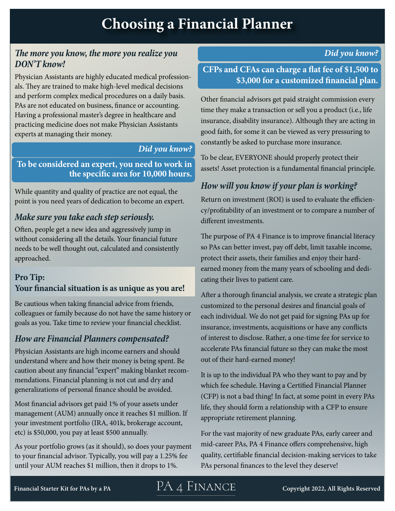#### <span id="page-6-0"></span>*The more you know, the more you realize you DON'T know!*

Physician Assistants are highly educated medical professionals. They are trained to make high-level medical decisions and perform complex medical procedures on a daily basis. PAs are not educated on business, finance or accounting. Having a professional master's degree in healthcare and practicing medicine does not make Physician Assistants experts at managing their money.

#### *Did you know?*

**To be considered an expert, you need to work in the specific area for 10,000 hours.**

While quantity and quality of practice are not equal, the point is you need years of dedication to become an expert.

#### *Make sure you take each step seriously.*

Often, people get a new idea and aggressively jump in without considering all the details. Your financial future needs to be well thought out, calculated and consistently approached.

#### **Pro Tip: Your financial situation is as unique as you are!**

Be cautious when taking financial advice from friends, colleagues or family because do not have the same history or goals as you. Take time to review your financial checklist.

#### *How are Financial Planners compensated?*

Physician Assistants are high income earners and should understand where and how their money is being spent. Be caution about any financial "expert" making blanket recommendations. Financial planning is not cut and dry and generalizations of personal finance should be avoided.

Most financial advisors get paid 1% of your assets under management (AUM) annually once it reaches \$1 million. If your investment portfolio (IRA, 401k, brokerage account, etc) is \$50,000, you pay at least \$500 annually.

As your portfolio grows (as it should), so does your payment to your financial advisor. Typically, you will pay a 1.25% fee until your AUM reaches \$1 million, then it drops to 1%.

*Did you know?* 

#### **CFPs and CFAs can charge a flat fee of \$1,500 to \$3,000 for a customized financial plan.**

Other financial advisors get paid straight commission every time they make a transaction or sell you a product (i.e., life insurance, disability insurance). Although they are acting in good faith, for some it can be viewed as very pressuring to constantly be asked to purchase more insurance.

To be clear, EVERYONE should properly protect their assets! Asset protection is a fundamental financial principle.

#### *How will you know if your plan is working?*

Return on investment (ROI) is used to evaluate the efficiency/profitability of an investment or to compare a number of different investments.

The purpose of PA 4 Finance is to improve financial literacy so PAs can better invest, pay off debt, limit taxable income, protect their assets, their families and enjoy their hardearned money from the many years of schooling and dedicating their lives to patient care.

After a thorough financial analysis, we create a strategic plan customized to the personal desires and financial goals of each individual. We do not get paid for signing PAs up for insurance, investments, acquisitions or have any conflicts of interest to disclose. Rather, a one-time fee for service to accelerate PAs financial future so they can make the most out of their hard-earned money!

It is up to the individual PA who they want to pay and by which fee schedule. Having a Certified Financial Planner (CFP) is not a bad thing! In fact, at some point in every PAs life, they should form a relationship with a CFP to ensure appropriate retirement planning.

For the vast majority of new graduate PAs, early career and mid-career PAs, PA 4 Finance offers comprehensive, high quality, certifiable financial decision-making services to take PAs personal finances to the level they deserve!

### **Financial Starter Kit for PAs by a PA Copyright 2022, All Rights Reserved**